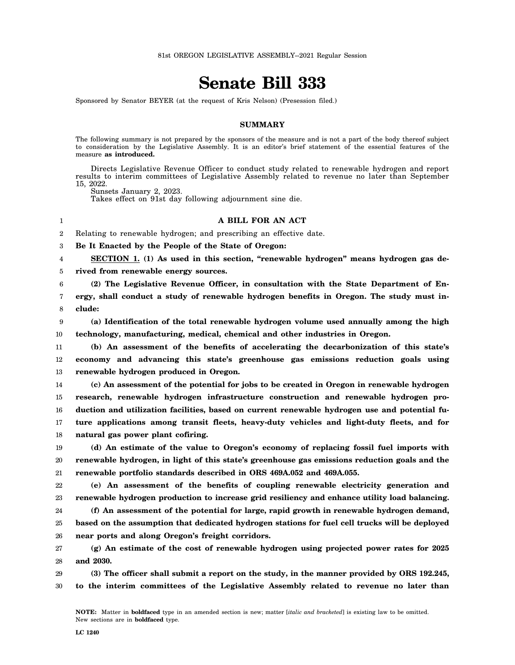## **Senate Bill 333**

Sponsored by Senator BEYER (at the request of Kris Nelson) (Presession filed.)

## **SUMMARY**

The following summary is not prepared by the sponsors of the measure and is not a part of the body thereof subject to consideration by the Legislative Assembly. It is an editor's brief statement of the essential features of the measure **as introduced.**

Directs Legislative Revenue Officer to conduct study related to renewable hydrogen and report results to interim committees of Legislative Assembly related to revenue no later than September 15, 2022.

Sunsets January 2, 2023. Takes effect on 91st day following adjournment sine die.

**A BILL FOR AN ACT**

2 Relating to renewable hydrogen; and prescribing an effective date.

3 **Be It Enacted by the People of the State of Oregon:**

4 **SECTION 1. (1) As used in this section, "renewable hydrogen" means hydrogen gas de-**

5 **rived from renewable energy sources.**

6 7 8 **(2) The Legislative Revenue Officer, in consultation with the State Department of Energy, shall conduct a study of renewable hydrogen benefits in Oregon. The study must include:**

1

9 10 **(a) Identification of the total renewable hydrogen volume used annually among the high technology, manufacturing, medical, chemical and other industries in Oregon.**

11 12 13 **(b) An assessment of the benefits of accelerating the decarbonization of this state's economy and advancing this state's greenhouse gas emissions reduction goals using renewable hydrogen produced in Oregon.**

14 15 16 17 18 **(c) An assessment of the potential for jobs to be created in Oregon in renewable hydrogen research, renewable hydrogen infrastructure construction and renewable hydrogen production and utilization facilities, based on current renewable hydrogen use and potential future applications among transit fleets, heavy-duty vehicles and light-duty fleets, and for natural gas power plant cofiring.**

19 20 21 **(d) An estimate of the value to Oregon's economy of replacing fossil fuel imports with renewable hydrogen, in light of this state's greenhouse gas emissions reduction goals and the renewable portfolio standards described in ORS 469A.052 and 469A.055.**

22 23 **(e) An assessment of the benefits of coupling renewable electricity generation and renewable hydrogen production to increase grid resiliency and enhance utility load balancing.**

24 25 26 **(f) An assessment of the potential for large, rapid growth in renewable hydrogen demand, based on the assumption that dedicated hydrogen stations for fuel cell trucks will be deployed near ports and along Oregon's freight corridors.**

27 28 **(g) An estimate of the cost of renewable hydrogen using projected power rates for 2025 and 2030.**

29 30 **(3) The officer shall submit a report on the study, in the manner provided by ORS 192.245, to the interim committees of the Legislative Assembly related to revenue no later than**